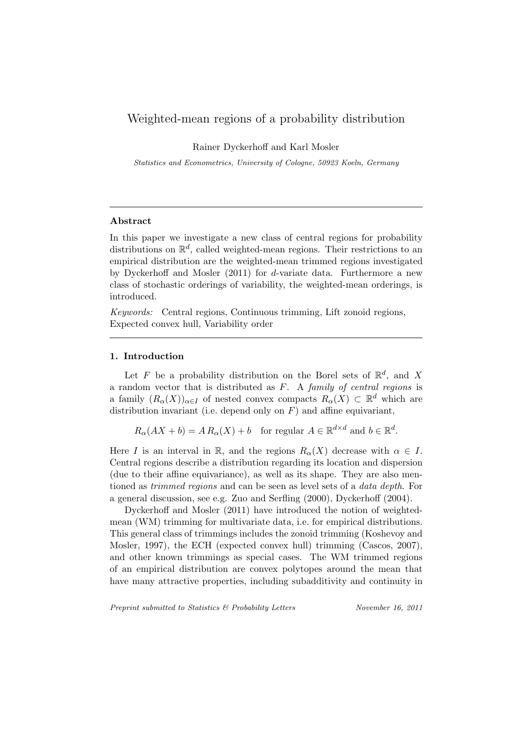# Weighted-mean regions of a probability distribution

Rainer Dyckerhoff and Karl Mosler

Statistics and Econometrics, University of Cologne, 50923 Koeln, Germany

# Abstract

In this paper we investigate a new class of central regions for probability distributions on  $\mathbb{R}^d$ , called weighted-mean regions. Their restrictions to an empirical distribution are the weighted-mean trimmed regions investigated by Dyckerhoff and Mosler (2011) for d-variate data. Furthermore a new class of stochastic orderings of variability, the weighted-mean orderings, is introduced.

Keywords: Central regions, Continuous trimming, Lift zonoid regions, Expected convex hull, Variability order

#### 1. Introduction

Let F be a probability distribution on the Borel sets of  $\mathbb{R}^d$ , and X a random vector that is distributed as  $F$ . A family of central regions is a family  $(R_\alpha(X))_{\alpha \in I}$  of nested convex compacts  $R_\alpha(X) \subset \mathbb{R}^d$  which are distribution invariant (i.e. depend only on  $F$ ) and affine equivariant,

 $R_{\alpha}(AX + b) = A R_{\alpha}(X) + b$  for regular  $A \in \mathbb{R}^{d \times d}$  and  $b \in \mathbb{R}^{d}$ .

Here I is an interval in R, and the regions  $R_{\alpha}(X)$  decrease with  $\alpha \in I$ . Central regions describe a distribution regarding its location and dispersion (due to their affine equivariance), as well as its shape. They are also mentioned as trimmed regions and can be seen as level sets of a data depth. For a general discussion, see e.g. Zuo and Serfling (2000), Dyckerhoff (2004).

Dyckerhoff and Mosler (2011) have introduced the notion of weightedmean (WM) trimming for multivariate data, i.e. for empirical distributions. This general class of trimmings includes the zonoid trimming (Koshevoy and Mosler, 1997), the ECH (expected convex hull) trimming (Cascos, 2007), and other known trimmings as special cases. The WM trimmed regions of an empirical distribution are convex polytopes around the mean that have many attractive properties, including subadditivity and continuity in

Preprint submitted to Statistics & Probability Letters November 16, 2011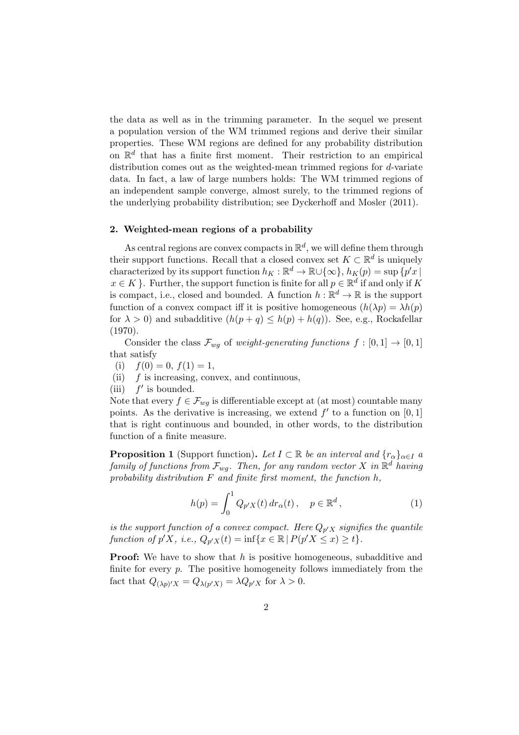the data as well as in the trimming parameter. In the sequel we present a population version of the WM trimmed regions and derive their similar properties. These WM regions are defined for any probability distribution on  $\mathbb{R}^d$  that has a finite first moment. Their restriction to an empirical distribution comes out as the weighted-mean trimmed regions for d-variate data. In fact, a law of large numbers holds: The WM trimmed regions of an independent sample converge, almost surely, to the trimmed regions of the underlying probability distribution; see Dyckerhoff and Mosler (2011).

#### 2. Weighted-mean regions of a probability

As central regions are convex compacts in  $\mathbb{R}^d$ , we will define them through their support functions. Recall that a closed convex set  $K \subset \mathbb{R}^d$  is uniquely characterized by its support function  $h_K : \mathbb{R}^d \to \mathbb{R} \cup \{\infty\}, h_K(p) = \sup \{p'x \mid$  $x \in K$  }. Further, the support function is finite for all  $p \in \mathbb{R}^d$  if and only if K is compact, i.e., closed and bounded. A function  $h: \mathbb{R}^d \to \mathbb{R}$  is the support function of a convex compact iff it is positive homogeneous  $(h(\lambda p) = \lambda h(p))$ for  $\lambda > 0$ ) and subadditive  $(h(p + q) \leq h(p) + h(q))$ . See, e.g., Rockafellar (1970).

Consider the class  $\mathcal{F}_{wg}$  of weight-generating functions  $f : [0,1] \rightarrow [0,1]$ that satisfy

- (i)  $f(0) = 0, f(1) = 1,$
- (ii)  $f$  is increasing, convex, and continuous,
- (iii)  $f'$  is bounded.

Note that every  $f \in \mathcal{F}_{wq}$  is differentiable except at (at most) countable many points. As the derivative is increasing, we extend  $f'$  to a function on  $[0, 1]$ that is right continuous and bounded, in other words, to the distribution function of a finite measure.

**Proposition 1** (Support function). Let  $I \subset \mathbb{R}$  be an interval and  $\{r_{\alpha}\}_{{\alpha \in I}}$  a family of functions from  $\mathcal{F}_{wg}.$  Then, for any random vector X in  $\mathbb{R}^d$  having probability distribution  $F$  and finite first moment, the function  $h$ ,

$$
h(p) = \int_0^1 Q_{p'X}(t) dr_\alpha(t), \quad p \in \mathbb{R}^d,
$$
 (1)

is the support function of a convex compact. Here  $Q_{p'X}$  signifies the quantile function of  $p'X$ , i.e.,  $Q_{p'X}(t) = \inf\{x \in \mathbb{R} \mid P(p'X \leq x) \geq t\}.$ 

**Proof:** We have to show that  $h$  is positive homogeneous, subadditive and finite for every  $p$ . The positive homogeneity follows immediately from the fact that  $Q_{(\lambda p)'X} = Q_{\lambda(p'X)} = \lambda Q_{p'X}$  for  $\lambda > 0$ .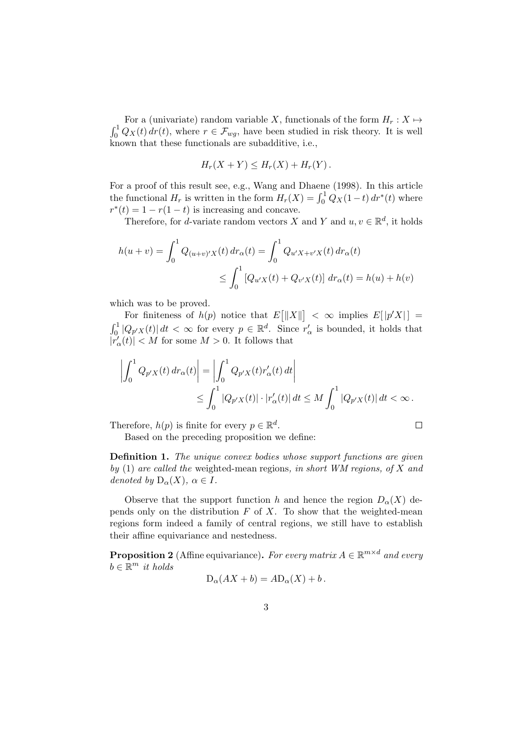$\int_0^1 Q_X(t) dr(t)$ , where  $r \in \mathcal{F}_{wg}$ , have been studied in risk theory. It is well For a (univariate) random variable X, functionals of the form  $H_r : X \mapsto$ known that these functionals are subadditive, i.e.,

$$
H_r(X+Y) \leq H_r(X) + H_r(Y).
$$

For a proof of this result see, e.g., Wang and Dhaene (1998). In this article the functional  $H_r$  is written in the form  $H_r(X) = \int_0^1 Q_X(1-t) dt^*(t)$  where  $r^*(t) = 1 - r(1-t)$  is increasing and concave.

Therefore, for *d*-variate random vectors X and Y and  $u, v \in \mathbb{R}^d$ , it holds

$$
h(u + v) = \int_0^1 Q_{(u+v)'X}(t) dr_{\alpha}(t) = \int_0^1 Q_{u'X+v'X}(t) dr_{\alpha}(t)
$$
  

$$
\leq \int_0^1 [Q_{u'X}(t) + Q_{v'X}(t)] dr_{\alpha}(t) = h(u) + h(v)
$$

which was to be proved.

For finiteness of  $h(p)$  notice that  $E[||X||] < \infty$  implies  $E[|p'X|] =$  $\int_0^1 |Q_{p'X}(t)| dt < \infty$  for every  $p \in \mathbb{R}^d$ . Since  $r'_\alpha$  is bounded, it holds that  $|r'_{\alpha}(t)| < M$  for some  $M > 0$ . It follows that

$$
\left| \int_0^1 Q_{p'X}(t) \, dr_\alpha(t) \right| = \left| \int_0^1 Q_{p'X}(t) r'_\alpha(t) \, dt \right| \\
\leq \int_0^1 |Q_{p'X}(t)| \cdot |r'_\alpha(t)| \, dt \leq M \int_0^1 |Q_{p'X}(t)| \, dt < \infty \, .
$$

 $\Box$ 

Therefore,  $h(p)$  is finite for every  $p \in \mathbb{R}^d$ .

Based on the preceding proposition we define:

Definition 1. The unique convex bodies whose support functions are given by  $(1)$  are called the weighted-mean regions, in short WM regions, of X and denoted by  $D_{\alpha}(X)$ ,  $\alpha \in I$ .

Observe that the support function h and hence the region  $D_{\alpha}(X)$  depends only on the distribution  $F$  of  $X$ . To show that the weighted-mean regions form indeed a family of central regions, we still have to establish their affine equivariance and nestedness.

**Proposition 2** (Affine equivariance). For every matrix  $A \in \mathbb{R}^{m \times d}$  and every  $b \in \mathbb{R}^m$  it holds

$$
D_{\alpha}(AX + b) = AD_{\alpha}(X) + b.
$$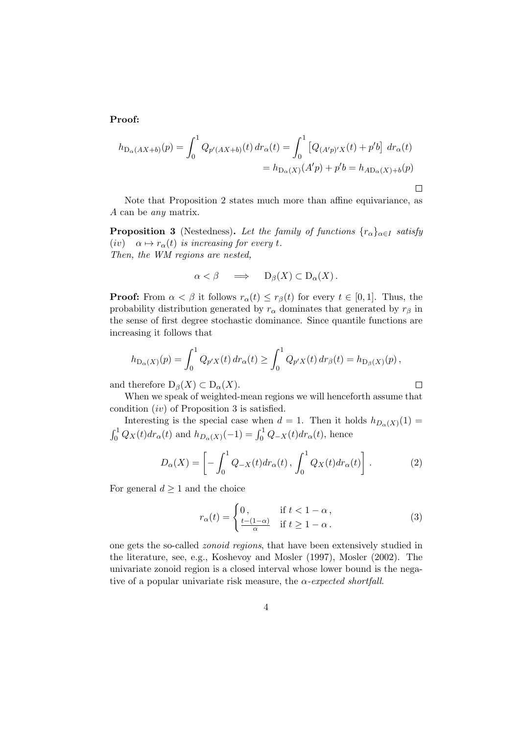Proof:

$$
h_{D_{\alpha}(AX+b)}(p) = \int_0^1 Q_{p'(AX+b)}(t) dr_{\alpha}(t) = \int_0^1 [Q_{(A'p)'X}(t) + p'b] dr_{\alpha}(t)
$$
  
=  $h_{D_{\alpha}(X)}(A'p) + p'b = h_{A D_{\alpha}(X) + b}(p)$ 

Note that Proposition 2 states much more than affine equivariance, as A can be any matrix.

**Proposition 3** (Nestedness). Let the family of functions  ${r_{\alpha}}_{\alpha \in I}$  satisfy (iv)  $\alpha \mapsto r_{\alpha}(t)$  is increasing for every t. Then, the WM regions are nested,

$$
\alpha < \beta \quad \Longrightarrow \quad D_{\beta}(X) \subset D_{\alpha}(X) \, .
$$

**Proof:** From  $\alpha < \beta$  it follows  $r_{\alpha}(t) \leq r_{\beta}(t)$  for every  $t \in [0, 1]$ . Thus, the probability distribution generated by  $r_{\alpha}$  dominates that generated by  $r_{\beta}$  in the sense of first degree stochastic dominance. Since quantile functions are increasing it follows that

$$
h_{\mathcal{D}_{\alpha}(X)}(p) = \int_0^1 Q_{p'X}(t) dr_{\alpha}(t) \ge \int_0^1 Q_{p'X}(t) dr_{\beta}(t) = h_{\mathcal{D}_{\beta}(X)}(p),
$$

and therefore  $D_{\beta}(X) \subset D_{\alpha}(X)$ .

When we speak of weighted-mean regions we will henceforth assume that condition (iv) of Proposition 3 is satisfied.

Interesting is the special case when  $d = 1$ . Then it holds  $h_{D_{\alpha}(X)}(1) =$  $\int_0^1 Q_X(t) dr_\alpha(t)$  and  $h_{D_\alpha(X)}(-1) = \int_0^1 Q_{-X}(t) dr_\alpha(t)$ , hence

$$
D_{\alpha}(X) = \left[ -\int_0^1 Q_{-X}(t) dr_{\alpha}(t) , \int_0^1 Q_X(t) dr_{\alpha}(t) \right].
$$
 (2)

For general  $d \geq 1$  and the choice

$$
r_{\alpha}(t) = \begin{cases} 0, & \text{if } t < 1 - \alpha, \\ \frac{t - (1 - \alpha)}{\alpha} & \text{if } t \ge 1 - \alpha. \end{cases}
$$
(3)

 $\Box$ 

one gets the so-called zonoid regions, that have been extensively studied in the literature, see, e.g., Koshevoy and Mosler (1997), Mosler (2002). The univariate zonoid region is a closed interval whose lower bound is the negative of a popular univariate risk measure, the  $\alpha$ -expected shortfall.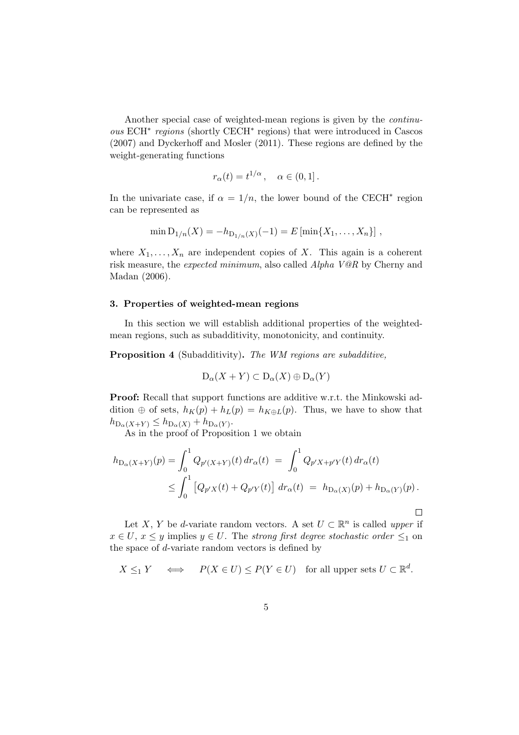Another special case of weighted-mean regions is given by the continuous ECH<sup>∗</sup> regions (shortly CECH<sup>∗</sup> regions) that were introduced in Cascos (2007) and Dyckerhoff and Mosler (2011). These regions are defined by the weight-generating functions

$$
r_{\alpha}(t) = t^{1/\alpha}, \quad \alpha \in (0,1].
$$

In the univariate case, if  $\alpha = 1/n$ , the lower bound of the CECH<sup>\*</sup> region can be represented as

$$
\min D_{1/n}(X) = -h_{D_{1/n}(X)}(-1) = E[\min\{X_1, \ldots, X_n\}]\,
$$

where  $X_1, \ldots, X_n$  are independent copies of X. This again is a coherent risk measure, the expected minimum, also called Alpha V@R by Cherny and Madan (2006).

## 3. Properties of weighted-mean regions

In this section we will establish additional properties of the weightedmean regions, such as subadditivity, monotonicity, and continuity.

Proposition 4 (Subadditivity). The WM regions are subadditive,

$$
D_{\alpha}(X+Y) \subset D_{\alpha}(X) \oplus D_{\alpha}(Y)
$$

Proof: Recall that support functions are additive w.r.t. the Minkowski addition  $\oplus$  of sets,  $h_K(p) + h_L(p) = h_{K \oplus L}(p)$ . Thus, we have to show that  $h_{\mathcal{D}_{\alpha}(X+Y)} \leq h_{\mathcal{D}_{\alpha}(X)} + h_{\mathcal{D}_{\alpha}(Y)}.$ 

As in the proof of Proposition 1 we obtain

$$
h_{D_{\alpha}(X+Y)}(p) = \int_0^1 Q_{p'(X+Y)}(t) dr_{\alpha}(t) = \int_0^1 Q_{p'X+p'Y}(t) dr_{\alpha}(t)
$$
  

$$
\leq \int_0^1 [Q_{p'X}(t) + Q_{p'Y}(t)] dr_{\alpha}(t) = h_{D_{\alpha}(X)}(p) + h_{D_{\alpha}(Y)}(p).
$$

Let X, Y be d-variate random vectors. A set  $U \subset \mathbb{R}^n$  is called upper if  $x \in U$ ,  $x \leq y$  implies  $y \in U$ . The strong first degree stochastic order  $\leq_1$  on the space of d-variate random vectors is defined by

$$
X \leq_1 Y \quad \iff \quad P(X \in U) \leq P(Y \in U) \quad \text{for all upper sets } U \subset \mathbb{R}^d.
$$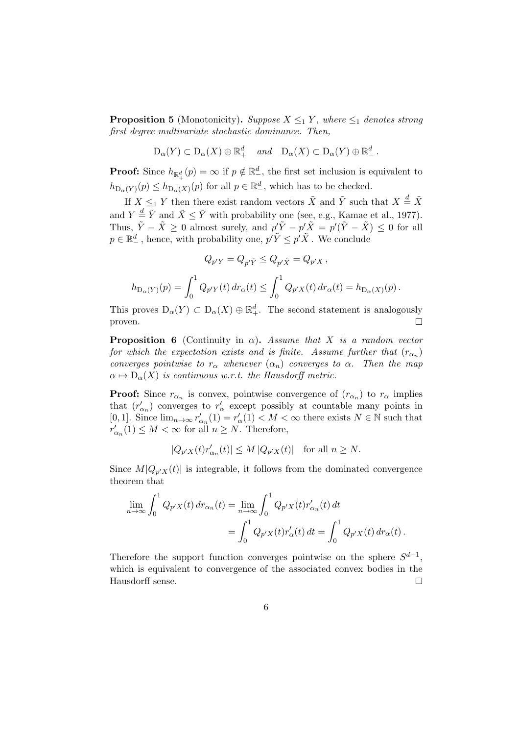**Proposition 5** (Monotonicity). Suppose  $X \leq_1 Y$ , where  $\leq_1$  denotes strong first degree multivariate stochastic dominance. Then,

$$
D_{\alpha}(Y) \subset D_{\alpha}(X) \oplus \mathbb{R}^{d}_{+} \quad and \quad D_{\alpha}(X) \subset D_{\alpha}(Y) \oplus \mathbb{R}^{d}_{-}.
$$

**Proof:** Since  $h_{\mathbb{R}^d_+}(p) = \infty$  if  $p \notin \mathbb{R}^d_$ , the first set inclusion is equivalent to  $h_{\mathcal{D}_{\alpha}(Y)}(p) \leq h_{\mathcal{D}_{\alpha}(X)}(p)$  for all  $p \in \mathbb{R}^d_$ , which has to be checked.

If  $X \leq_1 Y$  then there exist random vectors  $\tilde{X}$  and  $\tilde{Y}$  such that  $X \stackrel{d}{=} \tilde{X}$ and  $Y \stackrel{d}{=} \tilde{Y}$  and  $\tilde{X} \leq \tilde{Y}$  with probability one (see, e.g., Kamae et al., 1977). Thus,  $\tilde{Y} - \tilde{X} \ge 0$  almost surely, and  $p' \tilde{Y} - p' \tilde{X} = p'(\tilde{Y} - \tilde{X}) \le 0$  for all  $p \in \mathbb{R}^d_+$ , hence, with probability one,  $p' \tilde{Y} \leq p' \tilde{X}$ . We conclude

$$
Q_{p'Y} = Q_{p'\tilde{Y}} \le Q_{p'\tilde{X}} = Q_{p'X},
$$
  

$$
h_{D_{\alpha}(Y)}(p) = \int_0^1 Q_{p'Y}(t) dr_{\alpha}(t) \le \int_0^1 Q_{p'X}(t) dr_{\alpha}(t) = h_{D_{\alpha}(X)}(p).
$$

This proves  $D_{\alpha}(Y) \subset D_{\alpha}(X) \oplus \mathbb{R}^d_+$ . The second statement is analogously proven. П

**Proposition 6** (Continuity in  $\alpha$ ). Assume that X is a random vector for which the expectation exists and is finite. Assume further that  $(r_{\alpha_n})$ converges pointwise to  $r_{\alpha}$  whenever  $(\alpha_n)$  converges to  $\alpha$ . Then the map  $\alpha \mapsto D_{\alpha}(X)$  is continuous w.r.t. the Hausdorff metric.

**Proof:** Since  $r_{\alpha_n}$  is convex, pointwise convergence of  $(r_{\alpha_n})$  to  $r_{\alpha}$  implies that  $(r'_{\alpha_n})$  converges to  $r'_{\alpha}$  except possibly at countable many points in [0, 1]. Since  $\lim_{n\to\infty} r'_{\alpha_n}(1) = r'_{\alpha}(1) < M < \infty$  there exists  $N \in \mathbb{N}$  such that  $r'_{\alpha_n}(1) \leq M < \infty$  for all  $n \geq N$ . Therefore,

$$
|Q_{p'X}(t)r'_{\alpha_n}(t)|\leq M\,|Q_{p'X}(t)|\quad\text{for all }n\geq N.
$$

Since  $M|Q_{p'X}(t)|$  is integrable, it follows from the dominated convergence theorem that

$$
\lim_{n \to \infty} \int_0^1 Q_{p'X}(t) dr_{\alpha_n}(t) = \lim_{n \to \infty} \int_0^1 Q_{p'X}(t) r'_{\alpha_n}(t) dt \n= \int_0^1 Q_{p'X}(t) r'_{\alpha}(t) dt = \int_0^1 Q_{p'X}(t) dr_{\alpha}(t).
$$

Therefore the support function converges pointwise on the sphere  $S^{d-1}$ , which is equivalent to convergence of the associated convex bodies in the Hausdorff sense.  $\Box$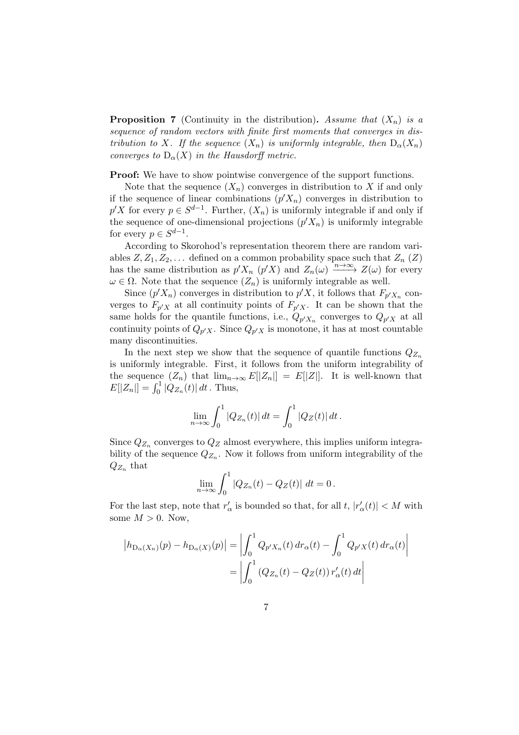**Proposition 7** (Continuity in the distribution). Assume that  $(X_n)$  is a sequence of random vectors with finite first moments that converges in distribution to X. If the sequence  $(X_n)$  is uniformly integrable, then  $D_{\alpha}(X_n)$ converges to  $D_{\alpha}(X)$  in the Hausdorff metric.

**Proof:** We have to show pointwise convergence of the support functions.

Note that the sequence  $(X_n)$  converges in distribution to X if and only if the sequence of linear combinations  $(p'X_n)$  converges in distribution to  $p'X$  for every  $p \in S^{d-1}$ . Further,  $(X_n)$  is uniformly integrable if and only if the sequence of one-dimensional projections  $(p'X_n)$  is uniformly integrable for every  $p \in S^{d-1}$ .

According to Skorohod's representation theorem there are random variables  $Z, Z_1, Z_2, \ldots$  defined on a common probability space such that  $Z_n(Z)$ has the same distribution as  $p'X_n$   $(p'X)$  and  $Z_n(\omega) \xrightarrow[n \to \infty]{n \to \infty} Z(\omega)$  for every  $\omega \in \Omega$ . Note that the sequence  $(Z_n)$  is uniformly integrable as well.

Since  $(p'X_n)$  converges in distribution to  $p'X$ , it follows that  $F_{p'X_n}$  converges to  $F_{p'X}$  at all continuity points of  $F_{p'X}$ . It can be shown that the same holds for the quantile functions, i.e.,  $Q_{p'X_n}$  converges to  $Q_{p'X}$  at all continuity points of  $Q_{p'X}$ . Since  $Q_{p'X}$  is monotone, it has at most countable many discontinuities.

In the next step we show that the sequence of quantile functions  $Q_{Z_n}$ is uniformly integrable. First, it follows from the uniform integrability of the sequence  $(Z_n)$  that  $\lim_{n\to\infty} E[|Z_n|] = E[|Z|]$ . It is well-known that  $E[|Z_n|] = \int_0^1 |Q_{Z_n}(t)| dt$ . Thus,

$$
\lim_{n \to \infty} \int_0^1 |Q_{Z_n}(t)| dt = \int_0^1 |Q_Z(t)| dt.
$$

Since  $Q_{Z_n}$  converges to  $Q_Z$  almost everywhere, this implies uniform integrability of the sequence  $Q_{Z_n}$ . Now it follows from uniform integrability of the  $Q_{Z_n}$  that

$$
\lim_{n\to\infty}\int_0^1|Q_{Z_n}(t)-Q_Z(t)|\ dt=0.
$$

For the last step, note that  $r'_\alpha$  is bounded so that, for all  $t, |r'_\alpha(t)| < M$  with some  $M > 0$ . Now,

$$
|h_{D_{\alpha}(X_n)}(p) - h_{D_{\alpha}(X)}(p)| = \left| \int_0^1 Q_{p'X_n}(t) dr_{\alpha}(t) - \int_0^1 Q_{p'X}(t) dr_{\alpha}(t) \right|
$$
  
= 
$$
\left| \int_0^1 (Q_{Z_n}(t) - Q_Z(t)) r'_{\alpha}(t) dt \right|
$$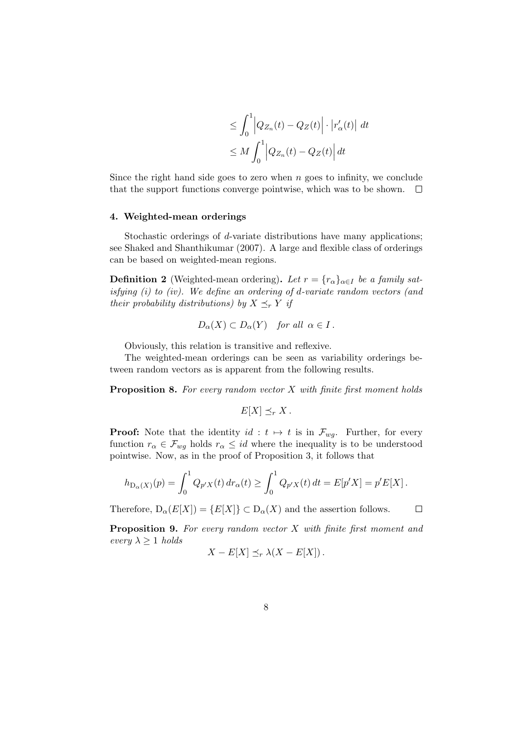$$
\leq \int_0^1 \left| Q_{Z_n}(t) - Q_Z(t) \right| \cdot \left| r'_\alpha(t) \right| dt
$$
  

$$
\leq M \int_0^1 \left| Q_{Z_n}(t) - Q_Z(t) \right| dt
$$

Since the right hand side goes to zero when  $n$  goes to infinity, we conclude that the support functions converge pointwise, which was to be shown.  $\Box$ 

## 4. Weighted-mean orderings

Stochastic orderings of d-variate distributions have many applications; see Shaked and Shanthikumar (2007). A large and flexible class of orderings can be based on weighted-mean regions.

**Definition 2** (Weighted-mean ordering). Let  $r = \{r_{\alpha}\}_{{\alpha \in I}}$  be a family satisfying (i) to (iv). We define an ordering of d-variate random vectors (and their probability distributions) by  $X \preceq_r Y$  if

$$
D_{\alpha}(X) \subset D_{\alpha}(Y) \quad for all \alpha \in I.
$$

Obviously, this relation is transitive and reflexive.

The weighted-mean orderings can be seen as variability orderings between random vectors as is apparent from the following results.

**Proposition 8.** For every random vector  $X$  with finite first moment holds

$$
E[X] \preceq_r X.
$$

**Proof:** Note that the identity  $id : t \mapsto t$  is in  $\mathcal{F}_{wg}$ . Further, for every function  $r_{\alpha} \in \mathcal{F}_{wa}$  holds  $r_{\alpha} \leq id$  where the inequality is to be understood pointwise. Now, as in the proof of Proposition 3, it follows that

$$
h_{\mathcal{D}_{\alpha}(X)}(p) = \int_0^1 Q_{p'X}(t) dr_{\alpha}(t) \ge \int_0^1 Q_{p'X}(t) dt = E[p'X] = p'E[X].
$$

 $\Box$ 

Therefore,  $D_{\alpha}(E[X]) = \{E[X]\} \subset D_{\alpha}(X)$  and the assertion follows.

**Proposition 9.** For every random vector  $X$  with finite first moment and every  $\lambda \geq 1$  holds

$$
X - E[X] \preceq_r \lambda (X - E[X]).
$$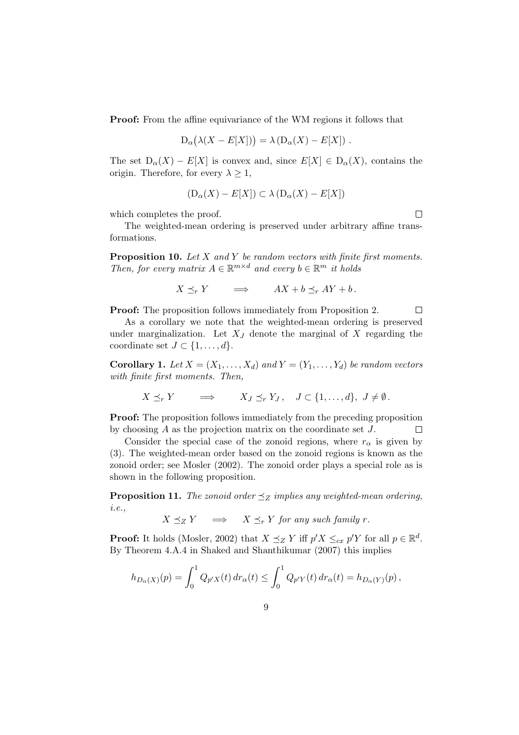Proof: From the affine equivariance of the WM regions it follows that

$$
D_{\alpha}(\lambda(X - E[X])) = \lambda (D_{\alpha}(X) - E[X]) .
$$

The set  $D_{\alpha}(X) - E[X]$  is convex and, since  $E[X] \in D_{\alpha}(X)$ , contains the origin. Therefore, for every  $\lambda \geq 1$ ,

$$
(D_{\alpha}(X) - E[X]) \subset \lambda (D_{\alpha}(X) - E[X])
$$

which completes the proof.

The weighted-mean ordering is preserved under arbitrary affine transformations.

**Proposition 10.** Let  $X$  and  $Y$  be random vectors with finite first moments. Then, for every matrix  $A \in \mathbb{R}^{m \times d}$  and every  $b \in \mathbb{R}^m$  it holds

$$
X \preceq_r Y \qquad \Longrightarrow \qquad AX + b \preceq_r AY + b \, .
$$

Proof: The proposition follows immediately from Proposition 2.  $\Box$ 

As a corollary we note that the weighted-mean ordering is preserved under marginalization. Let  $X_J$  denote the marginal of X regarding the coordinate set  $J \subset \{1, \ldots, d\}.$ 

**Corollary 1.** Let  $X = (X_1, \ldots, X_d)$  and  $Y = (Y_1, \ldots, Y_d)$  be random vectors with finite first moments. Then,

$$
X \preceq_r Y \qquad \Longrightarrow \qquad X_J \preceq_r Y_J, \quad J \subset \{1, \ldots, d\}, \ J \neq \emptyset.
$$

**Proof:** The proposition follows immediately from the preceding proposition by choosing A as the projection matrix on the coordinate set J.  $\Box$ 

Consider the special case of the zonoid regions, where  $r_{\alpha}$  is given by (3). The weighted-mean order based on the zonoid regions is known as the zonoid order; see Mosler (2002). The zonoid order plays a special role as is shown in the following proposition.

**Proposition 11.** The zonoid order  $\leq_Z$  implies any weighted-mean ordering, i.e.,

 $X \preceq_Z Y \implies X \preceq_r Y$  for any such family r.

**Proof:** It holds (Mosler, 2002) that  $X \preceq_Z Y$  iff  $p'X \leq_{cx} p'Y$  for all  $p \in \mathbb{R}^d$ . By Theorem 4.A.4 in Shaked and Shanthikumar (2007) this implies

$$
h_{D_{\alpha}(X)}(p) = \int_0^1 Q_{p'X}(t) dr_{\alpha}(t) \le \int_0^1 Q_{p'Y}(t) dr_{\alpha}(t) = h_{D_{\alpha}(Y)}(p),
$$

 $\Box$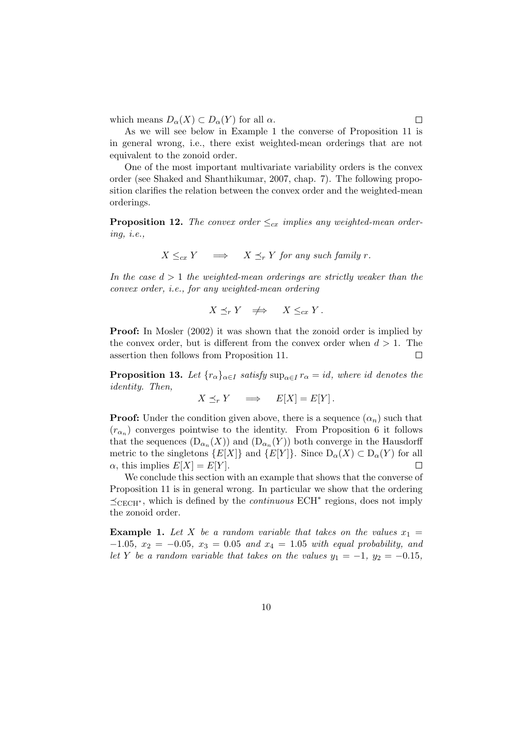which means  $D_{\alpha}(X) \subset D_{\alpha}(Y)$  for all  $\alpha$ .

As we will see below in Example 1 the converse of Proposition 11 is in general wrong, i.e., there exist weighted-mean orderings that are not equivalent to the zonoid order.

One of the most important multivariate variability orders is the convex order (see Shaked and Shanthikumar, 2007, chap. 7). The following proposition clarifies the relation between the convex order and the weighted-mean orderings.

**Proposition 12.** The convex order  $\leq_{cx}$  implies any weighted-mean ordering, i.e.,

 $X \leq_{cx} Y \implies X \preceq_r Y$  for any such family r.

In the case  $d > 1$  the weighted-mean orderings are strictly weaker than the convex order, i.e., for any weighted-mean ordering

$$
X \preceq_r Y \quad \Longrightarrow \quad X \leq_{cx} Y.
$$

Proof: In Mosler (2002) it was shown that the zonoid order is implied by the convex order, but is different from the convex order when  $d > 1$ . The assertion then follows from Proposition 11.  $\Box$ 

**Proposition 13.** Let  $\{r_{\alpha}\}_{{\alpha \in I}}$  satisfy  $\sup_{{\alpha \in I}} r_{\alpha} = id$ , where id denotes the identity. Then,

$$
X \preceq_r Y \quad \Longrightarrow \quad E[X] = E[Y].
$$

**Proof:** Under the condition given above, there is a sequence  $(\alpha_n)$  such that  $(r_{\alpha_n})$  converges pointwise to the identity. From Proposition 6 it follows that the sequences  $(D_{\alpha_n}(X))$  and  $(D_{\alpha_n}(Y))$  both converge in the Hausdorff metric to the singletons  $\{E[X]\}$  and  $\{E[Y]\}$ . Since  $D_{\alpha}(X) \subset D_{\alpha}(Y)$  for all  $\alpha$ , this implies  $E[X] = E[Y]$ .  $\Box$ 

We conclude this section with an example that shows that the converse of Proposition 11 is in general wrong. In particular we show that the ordering CECH<sup>∗</sup> , which is defined by the continuous ECH<sup>∗</sup> regions, does not imply the zonoid order.

**Example 1.** Let X be a random variable that takes on the values  $x_1 =$  $-1.05$ ,  $x_2 = -0.05$ ,  $x_3 = 0.05$  and  $x_4 = 1.05$  with equal probability, and let Y be a random variable that takes on the values  $y_1 = -1$ ,  $y_2 = -0.15$ ,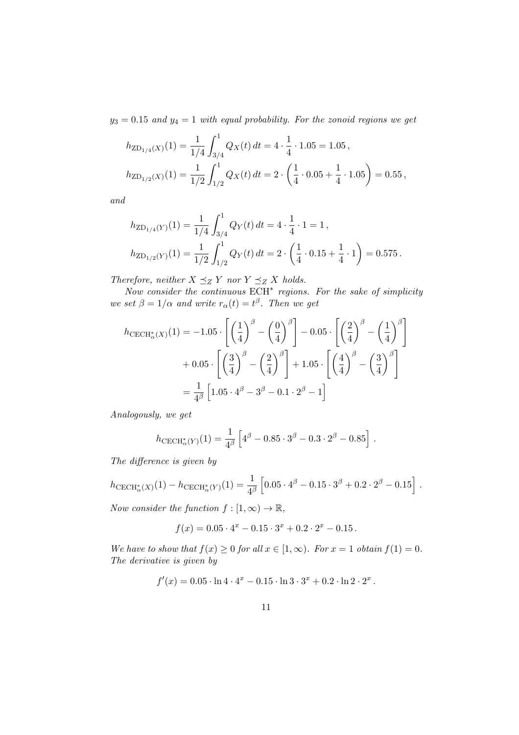$y_3 = 0.15$  and  $y_4 = 1$  with equal probability. For the zonoid regions we get

$$
h_{\text{ZD}_{1/4}(X)}(1) = \frac{1}{1/4} \int_{3/4}^{1} Q_X(t) dt = 4 \cdot \frac{1}{4} \cdot 1.05 = 1.05,
$$
  

$$
h_{\text{ZD}_{1/2}(X)}(1) = \frac{1}{1/2} \int_{1/2}^{1} Q_X(t) dt = 2 \cdot \left(\frac{1}{4} \cdot 0.05 + \frac{1}{4} \cdot 1.05\right) = 0.55,
$$

and

$$
h_{\text{ZD}_{1/4}(Y)}(1) = \frac{1}{1/4} \int_{3/4}^{1} Q_Y(t) dt = 4 \cdot \frac{1}{4} \cdot 1 = 1,
$$
  

$$
h_{\text{ZD}_{1/2}(Y)}(1) = \frac{1}{1/2} \int_{1/2}^{1} Q_Y(t) dt = 2 \cdot \left(\frac{1}{4} \cdot 0.15 + \frac{1}{4} \cdot 1\right) = 0.575.
$$

Therefore, neither  $X \preceq_Z Y$  nor  $Y \preceq_Z X$  holds.

Now consider the continuous  $ECH^*$  regions. For the sake of simplicity we set  $\beta = 1/\alpha$  and write  $r_{\alpha}(t) = t^{\beta}$ . Then we get

$$
h_{\text{CECH}_{\alpha}^{*}(X)}(1) = -1.05 \cdot \left[ \left( \frac{1}{4} \right)^{\beta} - \left( \frac{0}{4} \right)^{\beta} \right] - 0.05 \cdot \left[ \left( \frac{2}{4} \right)^{\beta} - \left( \frac{1}{4} \right)^{\beta} \right] + 0.05 \cdot \left[ \left( \frac{3}{4} \right)^{\beta} - \left( \frac{2}{4} \right)^{\beta} \right] + 1.05 \cdot \left[ \left( \frac{4}{4} \right)^{\beta} - \left( \frac{3}{4} \right)^{\beta} \right] = \frac{1}{4^{\beta}} \left[ 1.05 \cdot 4^{\beta} - 3^{\beta} - 0.1 \cdot 2^{\beta} - 1 \right]
$$

Analogously, we get

$$
h_{\text{CECH}_{\alpha}^{*}(Y)}(1) = \frac{1}{4^{\beta}} \left[ 4^{\beta} - 0.85 \cdot 3^{\beta} - 0.3 \cdot 2^{\beta} - 0.85 \right].
$$

The difference is given by

$$
h_{\text{CECH}^*_{\alpha}(X)}(1) - h_{\text{CECH}^*_{\alpha}(Y)}(1) = \frac{1}{4^{\beta}} \left[ 0.05 \cdot 4^{\beta} - 0.15 \cdot 3^{\beta} + 0.2 \cdot 2^{\beta} - 0.15 \right].
$$

Now consider the function  $f : [1, \infty) \to \mathbb{R}$ ,

$$
f(x) = 0.05 \cdot 4^{x} - 0.15 \cdot 3^{x} + 0.2 \cdot 2^{x} - 0.15.
$$

We have to show that  $f(x) \ge 0$  for all  $x \in [1,\infty)$ . For  $x = 1$  obtain  $f(1) = 0$ . The derivative is given by

$$
f'(x) = 0.05 \cdot \ln 4 \cdot 4^{x} - 0.15 \cdot \ln 3 \cdot 3^{x} + 0.2 \cdot \ln 2 \cdot 2^{x}.
$$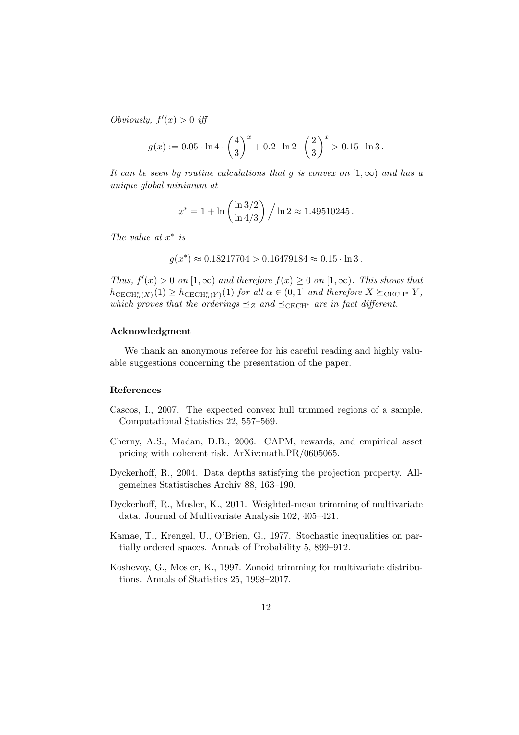Obviously,  $f'(x) > 0$  iff

$$
g(x) := 0.05 \cdot \ln 4 \cdot \left(\frac{4}{3}\right)^x + 0.2 \cdot \ln 2 \cdot \left(\frac{2}{3}\right)^x > 0.15 \cdot \ln 3.
$$

It can be seen by routine calculations that q is convex on  $[1,\infty)$  and has a unique global minimum at

$$
x^* = 1 + \ln\left(\frac{\ln 3/2}{\ln 4/3}\right) / \ln 2 \approx 1.49510245.
$$

The value at  $x^*$  is

$$
g(x^*) \approx 0.18217704 > 0.16479184 \approx 0.15 \cdot \ln 3.
$$

Thus,  $f'(x) > 0$  on  $[1, \infty)$  and therefore  $f(x) \geq 0$  on  $[1, \infty)$ . This shows that  $h_{\text{CECH}_{\alpha}^*(X)}(1) \geq h_{\text{CECH}_{\alpha}^*(Y)}(1)$  for all  $\alpha \in (0,1]$  and therefore  $X \succeq_{\text{CECH}^*} Y$ , which proves that the orderings  $\preceq_Z$  and  $\preceq_{CECH^*}$  are in fact different.

#### Acknowledgment

We thank an anonymous referee for his careful reading and highly valuable suggestions concerning the presentation of the paper.

# References

- Cascos, I., 2007. The expected convex hull trimmed regions of a sample. Computational Statistics 22, 557–569.
- Cherny, A.S., Madan, D.B., 2006. CAPM, rewards, and empirical asset pricing with coherent risk. ArXiv:math.PR/0605065.
- Dyckerhoff, R., 2004. Data depths satisfying the projection property. Allgemeines Statistisches Archiv 88, 163–190.
- Dyckerhoff, R., Mosler, K., 2011. Weighted-mean trimming of multivariate data. Journal of Multivariate Analysis 102, 405–421.
- Kamae, T., Krengel, U., O'Brien, G., 1977. Stochastic inequalities on partially ordered spaces. Annals of Probability 5, 899–912.
- Koshevoy, G., Mosler, K., 1997. Zonoid trimming for multivariate distributions. Annals of Statistics 25, 1998–2017.